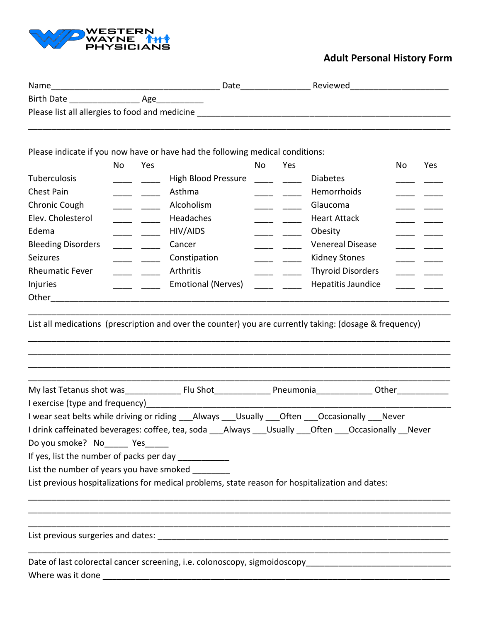

## **Adult Personal History Form**

| Name                                           | Date | Reviewed |  |
|------------------------------------------------|------|----------|--|
| <b>Birth Date</b><br>Age                       |      |          |  |
| Please list all allergies to food and medicine |      |          |  |
|                                                |      |          |  |

Please indicate if you now have or have had the following medical conditions:

|                           | <b>No</b> | Yes |                            | <b>No</b> | Yes |                          | No | Yes |
|---------------------------|-----------|-----|----------------------------|-----------|-----|--------------------------|----|-----|
| <b>Tuberculosis</b>       |           |     | <b>High Blood Pressure</b> |           |     | <b>Diabetes</b>          |    |     |
| Chest Pain                |           |     | Asthma                     |           |     | <b>Hemorrhoids</b>       |    |     |
| Chronic Cough             |           |     | Alcoholism                 |           |     | Glaucoma                 |    |     |
| Elev. Cholesterol         |           |     | <b>Headaches</b>           |           |     | <b>Heart Attack</b>      |    |     |
| Edema                     |           |     | HIV/AIDS                   |           |     | Obesity                  |    |     |
| <b>Bleeding Disorders</b> |           |     | Cancer                     |           |     | <b>Venereal Disease</b>  |    |     |
| <b>Seizures</b>           |           |     | Constipation               |           |     | Kidney Stones            |    |     |
| <b>Rheumatic Fever</b>    |           |     | Arthritis                  |           |     | <b>Thyroid Disorders</b> |    |     |
| Injuries                  |           |     | <b>Emotional (Nerves)</b>  |           |     | Hepatitis Jaundice       |    |     |
| Other                     |           |     |                            |           |     |                          |    |     |

List all medications (prescription and over the counter) you are currently taking: (dosage & frequency)

\_\_\_\_\_\_\_\_\_\_\_\_\_\_\_\_\_\_\_\_\_\_\_\_\_\_\_\_\_\_\_\_\_\_\_\_\_\_\_\_\_\_\_\_\_\_\_\_\_\_\_\_\_\_\_\_\_\_\_\_\_\_\_\_\_\_\_\_\_\_\_\_\_\_\_\_\_\_\_\_\_\_\_\_\_\_\_\_\_\_

\_\_\_\_\_\_\_\_\_\_\_\_\_\_\_\_\_\_\_\_\_\_\_\_\_\_\_\_\_\_\_\_\_\_\_\_\_\_\_\_\_\_\_\_\_\_\_\_\_\_\_\_\_\_\_\_\_\_\_\_\_\_\_\_\_\_\_\_\_\_\_\_\_\_\_\_\_\_\_\_\_\_\_\_\_\_\_\_\_\_ \_\_\_\_\_\_\_\_\_\_\_\_\_\_\_\_\_\_\_\_\_\_\_\_\_\_\_\_\_\_\_\_\_\_\_\_\_\_\_\_\_\_\_\_\_\_\_\_\_\_\_\_\_\_\_\_\_\_\_\_\_\_\_\_\_\_\_\_\_\_\_\_\_\_\_\_\_\_\_\_\_\_\_\_\_\_\_\_\_\_ \_\_\_\_\_\_\_\_\_\_\_\_\_\_\_\_\_\_\_\_\_\_\_\_\_\_\_\_\_\_\_\_\_\_\_\_\_\_\_\_\_\_\_\_\_\_\_\_\_\_\_\_\_\_\_\_\_\_\_\_\_\_\_\_\_\_\_\_\_\_\_\_\_\_\_\_\_\_\_\_\_\_\_\_\_\_\_\_\_\_ \_\_\_\_\_\_\_\_\_\_\_\_\_\_\_\_\_\_\_\_\_\_\_\_\_\_\_\_\_\_\_\_\_\_\_\_\_\_\_\_\_\_\_\_\_\_\_\_\_\_\_\_\_\_\_\_\_\_\_\_\_\_\_\_\_\_\_\_\_\_\_\_\_\_\_\_\_\_\_\_\_\_\_\_\_\_\_\_\_\_

My last Tetanus shot was\_\_\_\_\_\_\_\_\_\_\_\_ Flu Shot\_\_\_\_\_\_\_\_\_\_\_\_ Pneumonia\_\_\_\_\_\_\_\_\_\_\_\_ Other\_\_\_\_\_\_\_\_\_\_\_ I exercise (type and frequency)\_\_\_\_\_\_\_\_\_\_\_\_\_\_\_\_\_\_\_\_\_\_\_\_\_\_\_\_\_\_\_\_\_\_\_\_\_\_\_\_\_\_\_\_\_\_\_\_\_\_\_\_\_\_\_\_\_\_\_\_\_\_\_\_\_

| I wear seat belts while driving or riding _____Always _____Usually _____Often _____Occasionally _____Never |  |  |  |
|------------------------------------------------------------------------------------------------------------|--|--|--|
| I drink caffeinated beverages: coffee, tea, soda Always Usually Often Occasionally Never                   |  |  |  |

\_\_\_\_\_\_\_\_\_\_\_\_\_\_\_\_\_\_\_\_\_\_\_\_\_\_\_\_\_\_\_\_\_\_\_\_\_\_\_\_\_\_\_\_\_\_\_\_\_\_\_\_\_\_\_\_\_\_\_\_\_\_\_\_\_\_\_\_\_\_\_\_\_\_\_\_\_\_\_\_\_\_\_\_\_\_\_\_\_\_ \_\_\_\_\_\_\_\_\_\_\_\_\_\_\_\_\_\_\_\_\_\_\_\_\_\_\_\_\_\_\_\_\_\_\_\_\_\_\_\_\_\_\_\_\_\_\_\_\_\_\_\_\_\_\_\_\_\_\_\_\_\_\_\_\_\_\_\_\_\_\_\_\_\_\_\_\_\_\_\_\_\_\_\_\_\_\_\_\_\_ \_\_\_\_\_\_\_\_\_\_\_\_\_\_\_\_\_\_\_\_\_\_\_\_\_\_\_\_\_\_\_\_\_\_\_\_\_\_\_\_\_\_\_\_\_\_\_\_\_\_\_\_\_\_\_\_\_\_\_\_\_\_\_\_\_\_\_\_\_\_\_\_\_\_\_\_\_\_\_\_\_\_\_\_\_\_\_\_\_\_

\_\_\_\_\_\_\_\_\_\_\_\_\_\_\_\_\_\_\_\_\_\_\_\_\_\_\_\_\_\_\_\_\_\_\_\_\_\_\_\_\_\_\_\_\_\_\_\_\_\_\_\_\_\_\_\_\_\_\_\_\_\_\_\_\_\_\_\_\_\_\_\_\_\_\_\_\_\_\_\_\_\_\_\_\_\_\_\_\_\_

Do you smoke? No\_\_\_\_\_ Yes\_\_\_\_\_

If yes, list the number of packs per day \_\_\_\_\_\_\_\_\_\_\_\_

List the number of years you have smoked

List previous hospitalizations for medical problems, state reason for hospitalization and dates:

List previous surgeries and dates: **EXECUTE:**  $\frac{1}{2}$  and  $\frac{1}{2}$  and  $\frac{1}{2}$  and  $\frac{1}{2}$  and  $\frac{1}{2}$  and  $\frac{1}{2}$  and  $\frac{1}{2}$  and  $\frac{1}{2}$  and  $\frac{1}{2}$  and  $\frac{1}{2}$  and  $\frac{1}{2}$  and  $\frac{1}{2}$  and  $\frac{1}{2}$ 

Date of last colorectal cancer screening, i.e. colonoscopy, sigmoidoscopy Where was it done \_\_\_\_\_\_\_\_\_\_\_\_\_\_\_\_\_\_\_\_\_\_\_\_\_\_\_\_\_\_\_\_\_\_\_\_\_\_\_\_\_\_\_\_\_\_\_\_\_\_\_\_\_\_\_\_\_\_\_\_\_\_\_\_\_\_\_\_\_\_\_\_\_\_